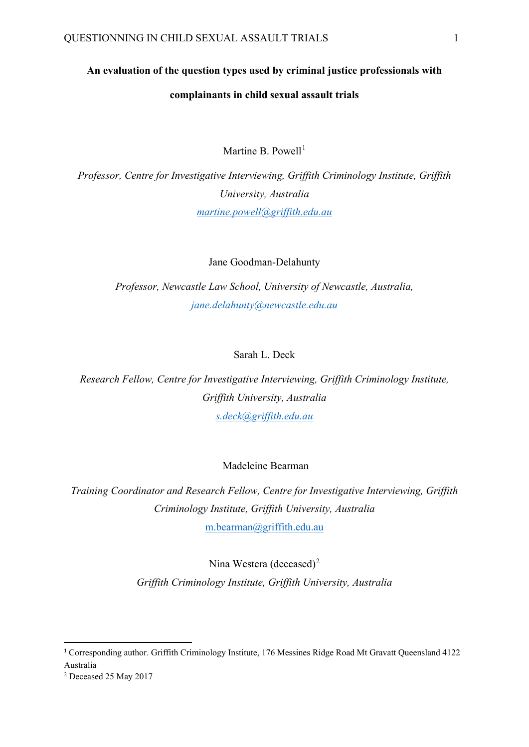# **An evaluation of the question types used by criminal justice professionals with complainants in child sexual assault trials**

Martine B. Powell $1$ 

*Professor, Centre for Investigative Interviewing, Griffith Criminology Institute, Griffith University, Australia [martine.powell@griffith.edu.au](mailto:martine.powell@griffith.edu.au)*

Jane Goodman-Delahunty

*Professor, Newcastle Law School, University of Newcastle, Australia, [jane.delahunty@newcastle.edu.au](mailto:jane.delahunty@newcastle.edu.au)*

#### Sarah L. Deck

*Research Fellow, Centre for Investigative Interviewing, Griffith Criminology Institute, Griffith University, Australia [s.deck@griffith.edu.au](mailto:s.deck@griffith.edu.au)*

#### Madeleine Bearman

*Training Coordinator and Research Fellow, Centre for Investigative Interviewing, Griffith Criminology Institute, Griffith University, Australia* [m.bearman@griffith.edu.au](mailto:m.bearman@griffith.edu.au)

Nina Westera (deceased)<sup>[2](#page-0-1)</sup>

*Griffith Criminology Institute, Griffith University, Australia*

<span id="page-0-0"></span><sup>&</sup>lt;sup>1</sup> Corresponding author. Griffith Criminology Institute, 176 Messines Ridge Road Mt Gravatt Queensland 4122 Australia

<span id="page-0-1"></span><sup>2</sup> Deceased 25 May 2017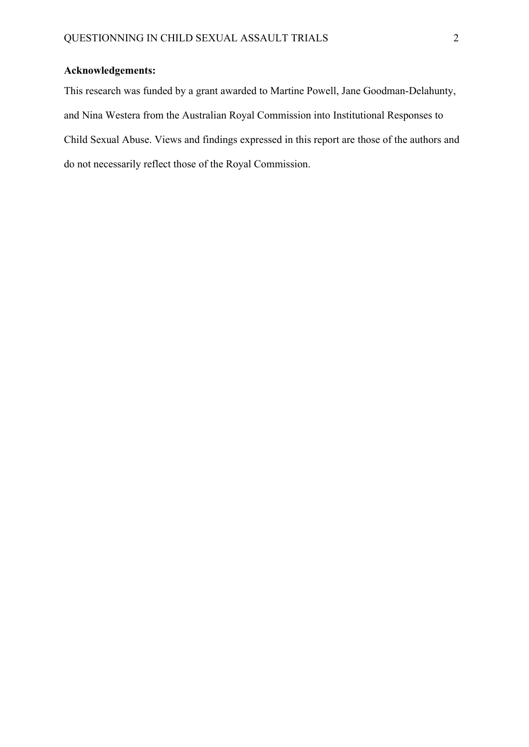### **Acknowledgements:**

This research was funded by a grant awarded to Martine Powell, Jane Goodman-Delahunty, and Nina Westera from the Australian Royal Commission into Institutional Responses to Child Sexual Abuse. Views and findings expressed in this report are those of the authors and do not necessarily reflect those of the Royal Commission.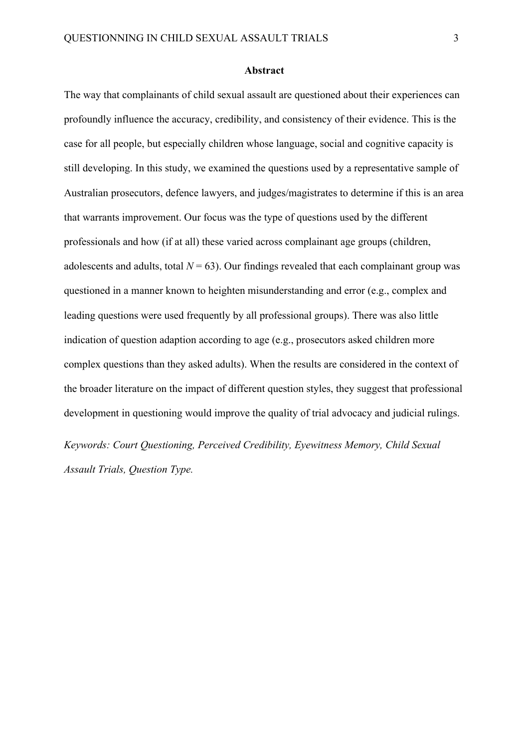#### **Abstract**

The way that complainants of child sexual assault are questioned about their experiences can profoundly influence the accuracy, credibility, and consistency of their evidence. This is the case for all people, but especially children whose language, social and cognitive capacity is still developing. In this study, we examined the questions used by a representative sample of Australian prosecutors, defence lawyers, and judges/magistrates to determine if this is an area that warrants improvement. Our focus was the type of questions used by the different professionals and how (if at all) these varied across complainant age groups (children, adolescents and adults, total  $N = 63$ ). Our findings revealed that each complainant group was questioned in a manner known to heighten misunderstanding and error (e.g., complex and leading questions were used frequently by all professional groups). There was also little indication of question adaption according to age (e.g., prosecutors asked children more complex questions than they asked adults). When the results are considered in the context of the broader literature on the impact of different question styles, they suggest that professional development in questioning would improve the quality of trial advocacy and judicial rulings.

*Keywords: Court Questioning, Perceived Credibility, Eyewitness Memory, Child Sexual Assault Trials, Question Type.*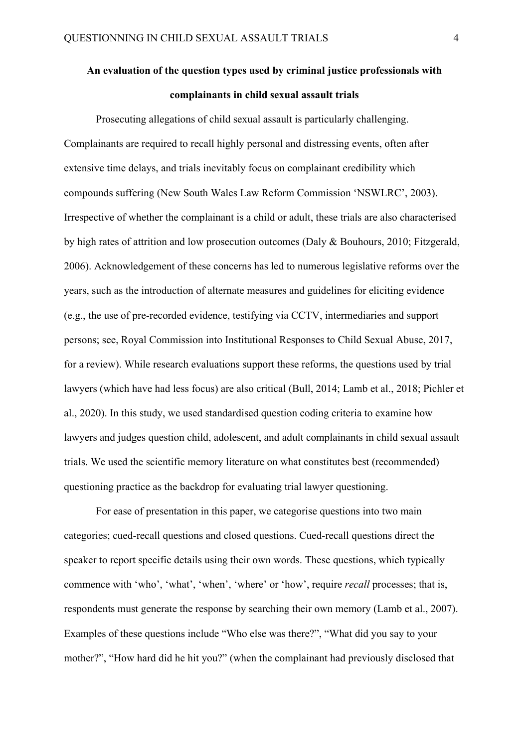# **An evaluation of the question types used by criminal justice professionals with complainants in child sexual assault trials**

Prosecuting allegations of child sexual assault is particularly challenging. Complainants are required to recall highly personal and distressing events, often after extensive time delays, and trials inevitably focus on complainant credibility which compounds suffering (New South Wales Law Reform Commission 'NSWLRC', 2003). Irrespective of whether the complainant is a child or adult, these trials are also characterised by high rates of attrition and low prosecution outcomes (Daly & Bouhours, 2010; Fitzgerald, 2006). Acknowledgement of these concerns has led to numerous legislative reforms over the years, such as the introduction of alternate measures and guidelines for eliciting evidence (e.g., the use of pre-recorded evidence, testifying via CCTV, intermediaries and support persons; see, Royal Commission into Institutional Responses to Child Sexual Abuse, 2017, for a review). While research evaluations support these reforms, the questions used by trial lawyers (which have had less focus) are also critical (Bull, 2014; Lamb et al., 2018; Pichler et al., 2020). In this study, we used standardised question coding criteria to examine how lawyers and judges question child, adolescent, and adult complainants in child sexual assault trials. We used the scientific memory literature on what constitutes best (recommended) questioning practice as the backdrop for evaluating trial lawyer questioning.

For ease of presentation in this paper, we categorise questions into two main categories; cued-recall questions and closed questions. Cued-recall questions direct the speaker to report specific details using their own words. These questions, which typically commence with 'who', 'what', 'when', 'where' or 'how', require *recall* processes; that is, respondents must generate the response by searching their own memory (Lamb et al., 2007). Examples of these questions include "Who else was there?", "What did you say to your mother?", "How hard did he hit you?" (when the complainant had previously disclosed that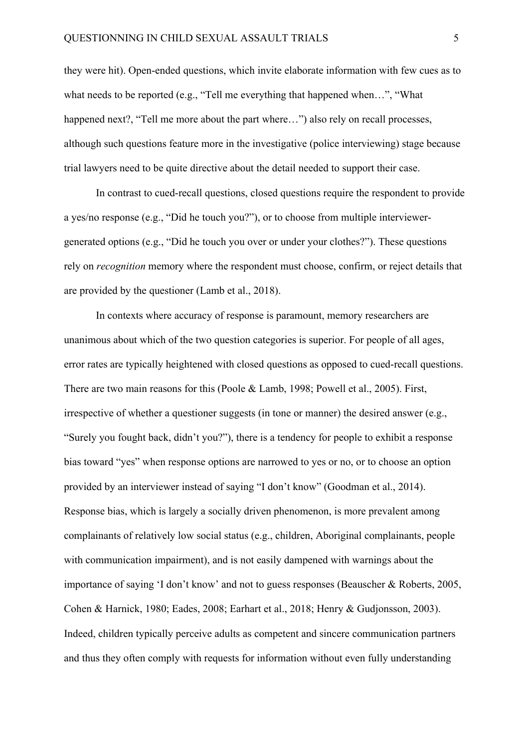they were hit). Open-ended questions, which invite elaborate information with few cues as to what needs to be reported (e.g., "Tell me everything that happened when…", "What happened next?, "Tell me more about the part where...") also rely on recall processes, although such questions feature more in the investigative (police interviewing) stage because trial lawyers need to be quite directive about the detail needed to support their case.

In contrast to cued-recall questions, closed questions require the respondent to provide a yes/no response (e.g., "Did he touch you?"), or to choose from multiple interviewergenerated options (e.g., "Did he touch you over or under your clothes?"). These questions rely on *recognition* memory where the respondent must choose, confirm, or reject details that are provided by the questioner (Lamb et al., 2018).

In contexts where accuracy of response is paramount, memory researchers are unanimous about which of the two question categories is superior. For people of all ages, error rates are typically heightened with closed questions as opposed to cued-recall questions. There are two main reasons for this (Poole & Lamb, 1998; Powell et al., 2005). First, irrespective of whether a questioner suggests (in tone or manner) the desired answer (e.g., "Surely you fought back, didn't you?"), there is a tendency for people to exhibit a response bias toward "yes" when response options are narrowed to yes or no, or to choose an option provided by an interviewer instead of saying "I don't know" (Goodman et al., 2014). Response bias, which is largely a socially driven phenomenon, is more prevalent among complainants of relatively low social status (e.g., children, Aboriginal complainants, people with communication impairment), and is not easily dampened with warnings about the importance of saying 'I don't know' and not to guess responses (Beauscher & Roberts, 2005, Cohen & Harnick, 1980; Eades, 2008; Earhart et al., 2018; Henry & Gudjonsson, 2003). Indeed, children typically perceive adults as competent and sincere communication partners and thus they often comply with requests for information without even fully understanding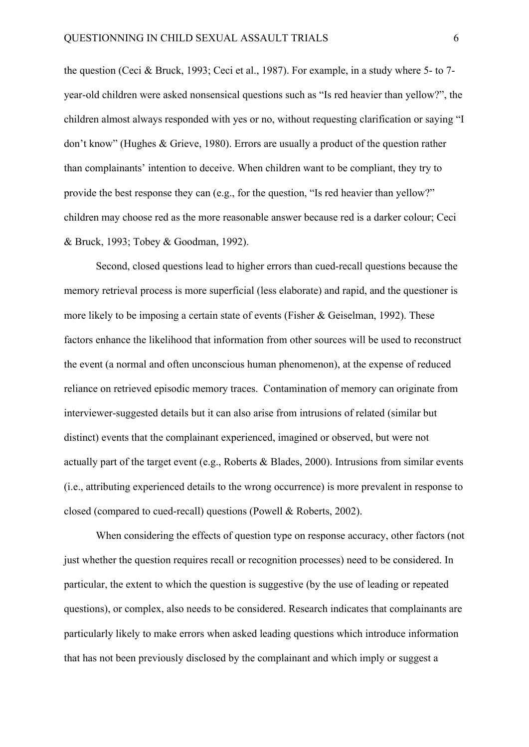the question (Ceci & Bruck, 1993; Ceci et al., 1987). For example, in a study where 5- to 7 year-old children were asked nonsensical questions such as "Is red heavier than yellow?", the children almost always responded with yes or no, without requesting clarification or saying "I don't know" (Hughes & Grieve, 1980). Errors are usually a product of the question rather than complainants' intention to deceive. When children want to be compliant, they try to provide the best response they can (e.g., for the question, "Is red heavier than yellow?" children may choose red as the more reasonable answer because red is a darker colour; Ceci & Bruck, 1993; Tobey & Goodman, 1992).

Second, closed questions lead to higher errors than cued-recall questions because the memory retrieval process is more superficial (less elaborate) and rapid, and the questioner is more likely to be imposing a certain state of events (Fisher & Geiselman, 1992). These factors enhance the likelihood that information from other sources will be used to reconstruct the event (a normal and often unconscious human phenomenon), at the expense of reduced reliance on retrieved episodic memory traces. Contamination of memory can originate from interviewer-suggested details but it can also arise from intrusions of related (similar but distinct) events that the complainant experienced, imagined or observed, but were not actually part of the target event (e.g., Roberts & Blades, 2000). Intrusions from similar events (i.e., attributing experienced details to the wrong occurrence) is more prevalent in response to closed (compared to cued-recall) questions (Powell & Roberts, 2002).

When considering the effects of question type on response accuracy, other factors (not just whether the question requires recall or recognition processes) need to be considered. In particular, the extent to which the question is suggestive (by the use of leading or repeated questions), or complex, also needs to be considered. Research indicates that complainants are particularly likely to make errors when asked leading questions which introduce information that has not been previously disclosed by the complainant and which imply or suggest a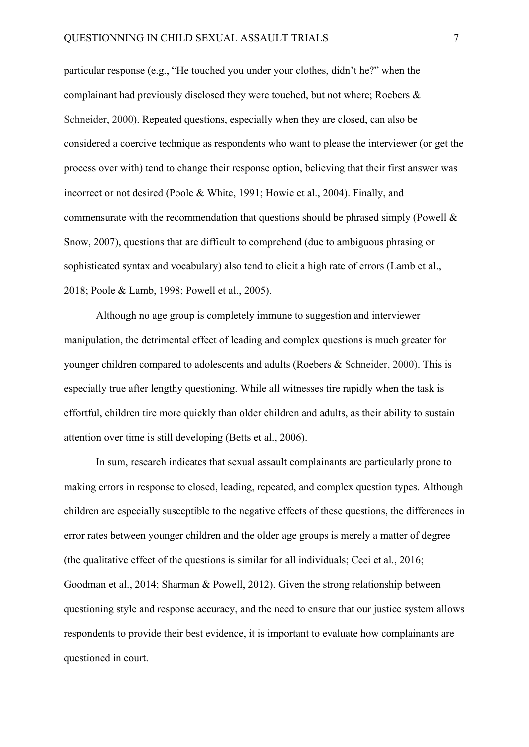particular response (e.g., "He touched you under your clothes, didn't he?" when the complainant had previously disclosed they were touched, but not where; Roebers & Schneider, 2000). Repeated questions, especially when they are closed, can also be considered a coercive technique as respondents who want to please the interviewer (or get the process over with) tend to change their response option, believing that their first answer was incorrect or not desired (Poole & White, 1991; Howie et al., 2004). Finally, and commensurate with the recommendation that questions should be phrased simply (Powell  $\&$ Snow, 2007), questions that are difficult to comprehend (due to ambiguous phrasing or sophisticated syntax and vocabulary) also tend to elicit a high rate of errors (Lamb et al., 2018; Poole & Lamb, 1998; Powell et al., 2005).

Although no age group is completely immune to suggestion and interviewer manipulation, the detrimental effect of leading and complex questions is much greater for younger children compared to adolescents and adults (Roebers & Schneider, 2000). This is especially true after lengthy questioning. While all witnesses tire rapidly when the task is effortful, children tire more quickly than older children and adults, as their ability to sustain attention over time is still developing (Betts et al., 2006).

In sum, research indicates that sexual assault complainants are particularly prone to making errors in response to closed, leading, repeated, and complex question types. Although children are especially susceptible to the negative effects of these questions, the differences in error rates between younger children and the older age groups is merely a matter of degree (the qualitative effect of the questions is similar for all individuals; Ceci et al., 2016; Goodman et al., 2014; Sharman & Powell, 2012). Given the strong relationship between questioning style and response accuracy, and the need to ensure that our justice system allows respondents to provide their best evidence, it is important to evaluate how complainants are questioned in court.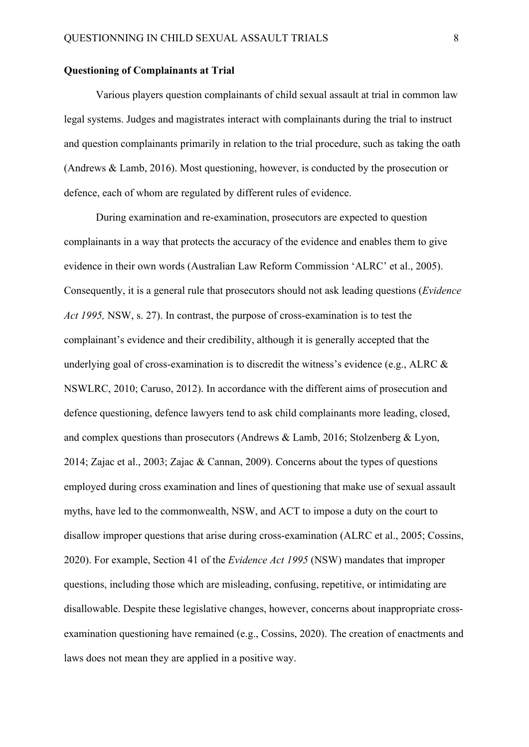#### **Questioning of Complainants at Trial**

Various players question complainants of child sexual assault at trial in common law legal systems. Judges and magistrates interact with complainants during the trial to instruct and question complainants primarily in relation to the trial procedure, such as taking the oath (Andrews & Lamb, 2016). Most questioning, however, is conducted by the prosecution or defence, each of whom are regulated by different rules of evidence.

During examination and re-examination, prosecutors are expected to question complainants in a way that protects the accuracy of the evidence and enables them to give evidence in their own words (Australian Law Reform Commission 'ALRC' et al., 2005). Consequently, it is a general rule that prosecutors should not ask leading questions (*Evidence Act 1995,* NSW, s. 27). In contrast, the purpose of cross-examination is to test the complainant's evidence and their credibility, although it is generally accepted that the underlying goal of cross-examination is to discredit the witness's evidence (e.g., ALRC & NSWLRC, 2010; Caruso, 2012). In accordance with the different aims of prosecution and defence questioning, defence lawyers tend to ask child complainants more leading, closed, and complex questions than prosecutors (Andrews & Lamb, 2016; Stolzenberg & Lyon, 2014; Zajac et al., 2003; Zajac & Cannan, 2009). Concerns about the types of questions employed during cross examination and lines of questioning that make use of sexual assault myths, have led to the commonwealth, NSW, and ACT to impose a duty on the court to disallow improper questions that arise during cross-examination (ALRC et al., 2005; Cossins, 2020). For example, Section 41 of the *Evidence Act 1995* (NSW) mandates that improper questions, including those which are misleading, confusing, repetitive, or intimidating are disallowable. Despite these legislative changes, however, concerns about inappropriate crossexamination questioning have remained (e.g., Cossins, 2020). The creation of enactments and laws does not mean they are applied in a positive way.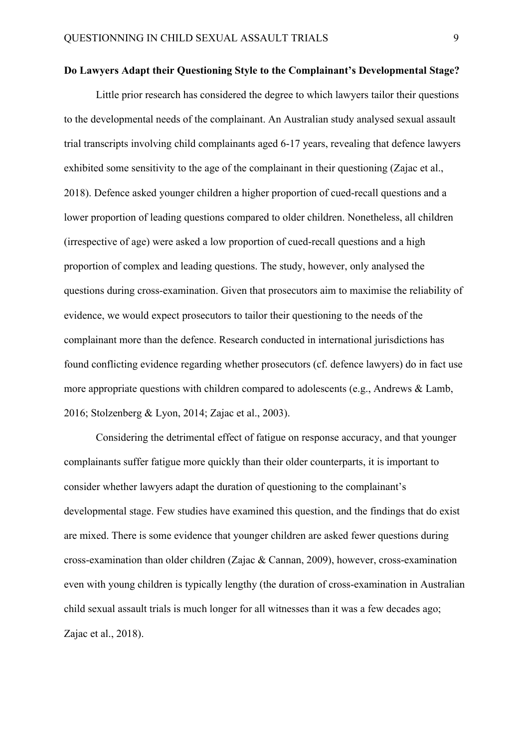#### **Do Lawyers Adapt their Questioning Style to the Complainant's Developmental Stage?**

Little prior research has considered the degree to which lawyers tailor their questions to the developmental needs of the complainant. An Australian study analysed sexual assault trial transcripts involving child complainants aged 6-17 years, revealing that defence lawyers exhibited some sensitivity to the age of the complainant in their questioning (Zajac et al., 2018). Defence asked younger children a higher proportion of cued-recall questions and a lower proportion of leading questions compared to older children. Nonetheless, all children (irrespective of age) were asked a low proportion of cued-recall questions and a high proportion of complex and leading questions. The study, however, only analysed the questions during cross-examination. Given that prosecutors aim to maximise the reliability of evidence, we would expect prosecutors to tailor their questioning to the needs of the complainant more than the defence. Research conducted in international jurisdictions has found conflicting evidence regarding whether prosecutors (cf. defence lawyers) do in fact use more appropriate questions with children compared to adolescents (e.g., Andrews & Lamb, 2016; Stolzenberg & Lyon, 2014; Zajac et al., 2003).

Considering the detrimental effect of fatigue on response accuracy, and that younger complainants suffer fatigue more quickly than their older counterparts, it is important to consider whether lawyers adapt the duration of questioning to the complainant's developmental stage. Few studies have examined this question, and the findings that do exist are mixed. There is some evidence that younger children are asked fewer questions during cross-examination than older children (Zajac & Cannan, 2009), however, cross-examination even with young children is typically lengthy (the duration of cross-examination in Australian child sexual assault trials is much longer for all witnesses than it was a few decades ago; Zajac et al., 2018).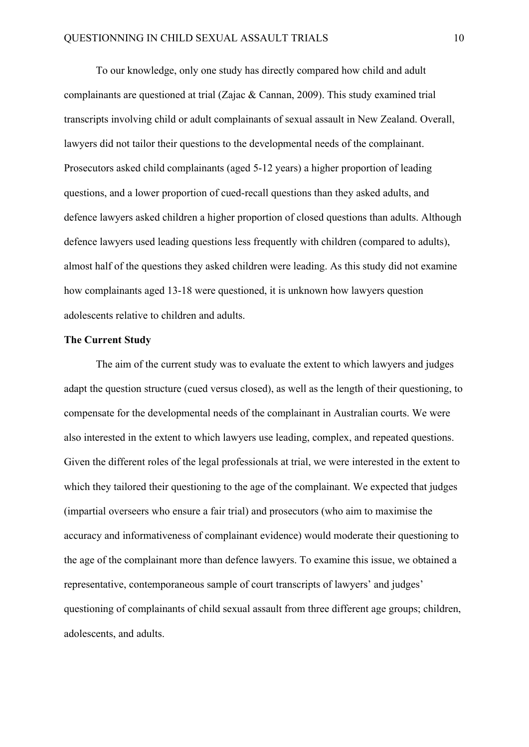To our knowledge, only one study has directly compared how child and adult complainants are questioned at trial (Zajac & Cannan, 2009). This study examined trial transcripts involving child or adult complainants of sexual assault in New Zealand. Overall, lawyers did not tailor their questions to the developmental needs of the complainant. Prosecutors asked child complainants (aged 5-12 years) a higher proportion of leading questions, and a lower proportion of cued-recall questions than they asked adults, and defence lawyers asked children a higher proportion of closed questions than adults. Although defence lawyers used leading questions less frequently with children (compared to adults), almost half of the questions they asked children were leading. As this study did not examine how complainants aged 13-18 were questioned, it is unknown how lawyers question adolescents relative to children and adults.

#### **The Current Study**

The aim of the current study was to evaluate the extent to which lawyers and judges adapt the question structure (cued versus closed), as well as the length of their questioning, to compensate for the developmental needs of the complainant in Australian courts. We were also interested in the extent to which lawyers use leading, complex, and repeated questions. Given the different roles of the legal professionals at trial, we were interested in the extent to which they tailored their questioning to the age of the complainant. We expected that judges (impartial overseers who ensure a fair trial) and prosecutors (who aim to maximise the accuracy and informativeness of complainant evidence) would moderate their questioning to the age of the complainant more than defence lawyers. To examine this issue, we obtained a representative, contemporaneous sample of court transcripts of lawyers' and judges' questioning of complainants of child sexual assault from three different age groups; children, adolescents, and adults.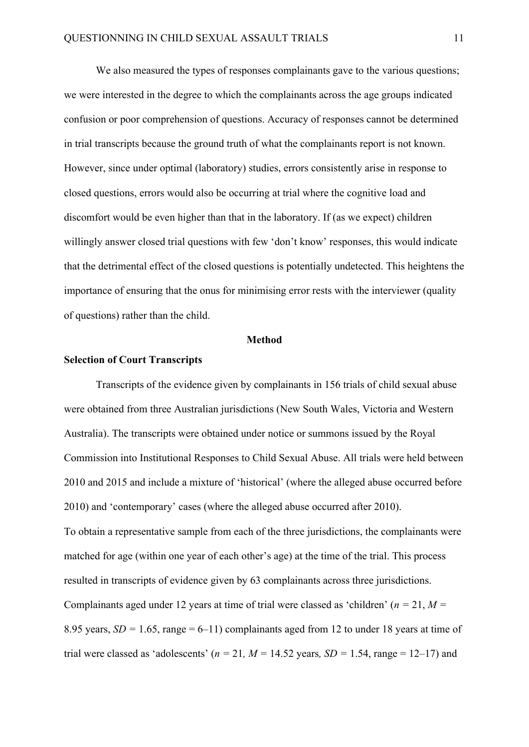We also measured the types of responses complainants gave to the various questions; we were interested in the degree to which the complainants across the age groups indicated confusion or poor comprehension of questions. Accuracy of responses cannot be determined in trial transcripts because the ground truth of what the complainants report is not known. However, since under optimal (laboratory) studies, errors consistently arise in response to closed questions, errors would also be occurring at trial where the cognitive load and discomfort would be even higher than that in the laboratory. If (as we expect) children willingly answer closed trial questions with few 'don't know' responses, this would indicate that the detrimental effect of the closed questions is potentially undetected. This heightens the importance of ensuring that the onus for minimising error rests with the interviewer (quality of questions) rather than the child.

#### **Method**

#### **Selection of Court Transcripts**

Transcripts of the evidence given by complainants in 156 trials of child sexual abuse were obtained from three Australian jurisdictions (New South Wales, Victoria and Western Australia). The transcripts were obtained under notice or summons issued by the Royal Commission into Institutional Responses to Child Sexual Abuse. All trials were held between 2010 and 2015 and include a mixture of 'historical' (where the alleged abuse occurred before 2010) and 'contemporary' cases (where the alleged abuse occurred after 2010). To obtain a representative sample from each of the three jurisdictions, the complainants were matched for age (within one year of each other's age) at the time of the trial. This process resulted in transcripts of evidence given by 63 complainants across three jurisdictions. Complainants aged under 12 years at time of trial were classed as 'children' (*n =* 21, *M =*  8.95 years,  $SD = 1.65$ , range = 6–11) complainants aged from 12 to under 18 years at time of trial were classed as 'adolescents' ( $n = 21$ ,  $M = 14.52$  years,  $SD = 1.54$ , range = 12–17) and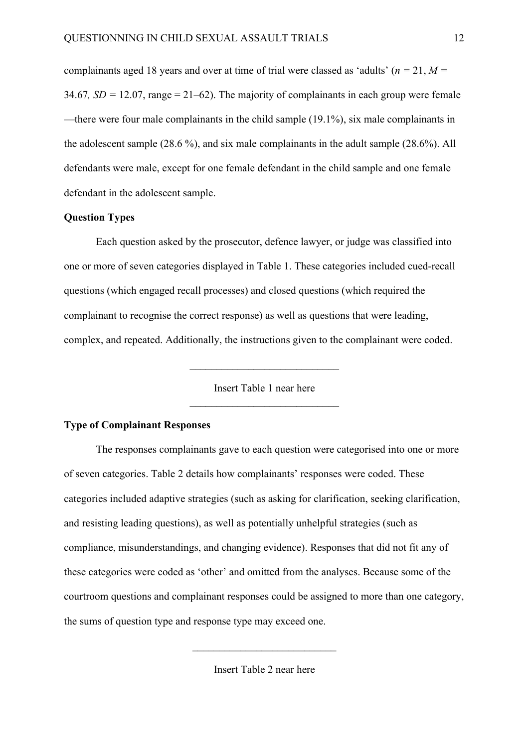complainants aged 18 years and over at time of trial were classed as 'adults' (*n =* 21, *M =*  34.67*, SD =* 12.07, range = 21–62). The majority of complainants in each group were female —there were four male complainants in the child sample (19.1%), six male complainants in the adolescent sample (28.6 %), and six male complainants in the adult sample (28.6%). All defendants were male, except for one female defendant in the child sample and one female defendant in the adolescent sample.

#### **Question Types**

Each question asked by the prosecutor, defence lawyer, or judge was classified into one or more of seven categories displayed in Table 1. These categories included cued-recall questions (which engaged recall processes) and closed questions (which required the complainant to recognise the correct response) as well as questions that were leading, complex, and repeated. Additionally, the instructions given to the complainant were coded.

> Insert Table 1 near here  $\overline{\mathcal{L}}$  , which is a set of the set of the set of the set of the set of the set of the set of the set of the set of the set of the set of the set of the set of the set of the set of the set of the set of the set of th

#### **Type of Complainant Responses**

The responses complainants gave to each question were categorised into one or more of seven categories. Table 2 details how complainants' responses were coded. These categories included adaptive strategies (such as asking for clarification, seeking clarification, and resisting leading questions), as well as potentially unhelpful strategies (such as compliance, misunderstandings, and changing evidence). Responses that did not fit any of these categories were coded as 'other' and omitted from the analyses. Because some of the courtroom questions and complainant responses could be assigned to more than one category, the sums of question type and response type may exceed one.

Insert Table 2 near here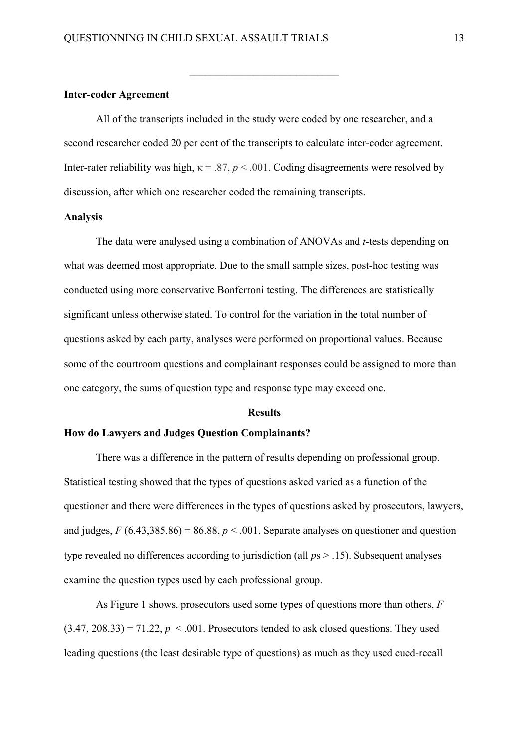#### **Inter-coder Agreement**

All of the transcripts included in the study were coded by one researcher, and a second researcher coded 20 per cent of the transcripts to calculate inter-coder agreement. Inter-rater reliability was high,  $\kappa = .87$ ,  $p < .001$ . Coding disagreements were resolved by discussion, after which one researcher coded the remaining transcripts.

 $\overline{\mathcal{L}}$  , which is a set of the set of the set of the set of the set of the set of the set of the set of the set of the set of the set of the set of the set of the set of the set of the set of the set of the set of th

#### **Analysis**

The data were analysed using a combination of ANOVAs and *t-*tests depending on what was deemed most appropriate. Due to the small sample sizes, post-hoc testing was conducted using more conservative Bonferroni testing. The differences are statistically significant unless otherwise stated. To control for the variation in the total number of questions asked by each party, analyses were performed on proportional values. Because some of the courtroom questions and complainant responses could be assigned to more than one category, the sums of question type and response type may exceed one.

#### **Results**

#### **How do Lawyers and Judges Question Complainants?**

There was a difference in the pattern of results depending on professional group. Statistical testing showed that the types of questions asked varied as a function of the questioner and there were differences in the types of questions asked by prosecutors, lawyers, and judges,  $F(6.43,385.86) = 86.88$ ,  $p < .001$ . Separate analyses on questioner and question type revealed no differences according to jurisdiction (all *p*s > .15). Subsequent analyses examine the question types used by each professional group.

As Figure 1 shows, prosecutors used some types of questions more than others, *F*   $(3.47, 208.33) = 71.22$ ,  $p < .001$ . Prosecutors tended to ask closed questions. They used leading questions (the least desirable type of questions) as much as they used cued-recall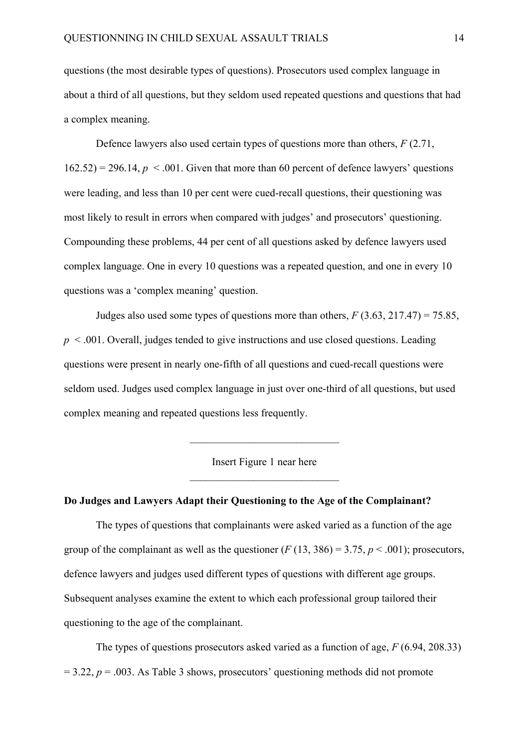questions (the most desirable types of questions). Prosecutors used complex language in about a third of all questions, but they seldom used repeated questions and questions that had a complex meaning.

Defence lawyers also used certain types of questions more than others, *F* (2.71,  $162.52$ ) = 296.14,  $p < 0.001$ . Given that more than 60 percent of defence lawyers' questions were leading, and less than 10 per cent were cued-recall questions, their questioning was most likely to result in errors when compared with judges' and prosecutors' questioning. Compounding these problems, 44 per cent of all questions asked by defence lawyers used complex language. One in every 10 questions was a repeated question, and one in every 10 questions was a 'complex meaning' question.

Judges also used some types of questions more than others,  $F(3.63, 217.47) = 75.85$ , *p* < .001. Overall, judges tended to give instructions and use closed questions. Leading questions were present in nearly one-fifth of all questions and cued-recall questions were seldom used. Judges used complex language in just over one-third of all questions, but used complex meaning and repeated questions less frequently.

> Insert Figure 1 near here  $\overline{\mathcal{L}}$  , which is a set of the set of the set of the set of the set of the set of the set of the set of the set of the set of the set of the set of the set of the set of the set of the set of the set of the set of th

> $\overline{\mathcal{L}}$  , which is a set of the set of the set of the set of the set of the set of the set of the set of the set of the set of the set of the set of the set of the set of the set of the set of the set of the set of th

#### **Do Judges and Lawyers Adapt their Questioning to the Age of the Complainant?**

The types of questions that complainants were asked varied as a function of the age group of the complainant as well as the questioner  $(F(13, 386) = 3.75, p < .001)$ ; prosecutors, defence lawyers and judges used different types of questions with different age groups. Subsequent analyses examine the extent to which each professional group tailored their questioning to the age of the complainant.

The types of questions prosecutors asked varied as a function of age, *F* (6.94, 208.33)  $= 3.22$ ,  $p = .003$ . As Table 3 shows, prosecutors' questioning methods did not promote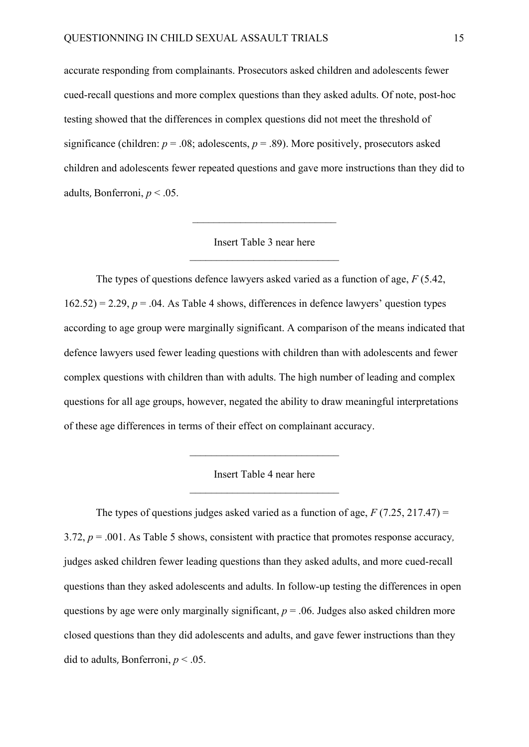accurate responding from complainants. Prosecutors asked children and adolescents fewer cued-recall questions and more complex questions than they asked adults. Of note, post-hoc testing showed that the differences in complex questions did not meet the threshold of significance (children:  $p = .08$ ; adolescents,  $p = .89$ ). More positively, prosecutors asked children and adolescents fewer repeated questions and gave more instructions than they did to adults, Bonferroni, *p* < .05.

> Insert Table 3 near here  $\overline{\mathcal{L}}$  , which is a set of the set of the set of the set of the set of the set of the set of the set of the set of the set of the set of the set of the set of the set of the set of the set of the set of the set of th

 $\overline{\phantom{a}}$  , which is a set of the set of the set of the set of the set of the set of the set of the set of the set of the set of the set of the set of the set of the set of the set of the set of the set of the set of th

The types of questions defence lawyers asked varied as a function of age, *F* (5.42,  $162.52$ ) = 2.29,  $p = 0.04$ . As Table 4 shows, differences in defence lawyers' question types according to age group were marginally significant. A comparison of the means indicated that defence lawyers used fewer leading questions with children than with adolescents and fewer complex questions with children than with adults. The high number of leading and complex questions for all age groups, however, negated the ability to draw meaningful interpretations of these age differences in terms of their effect on complainant accuracy.

> Insert Table 4 near here  $\mathcal{L}=\mathcal{L}=\mathcal{L}=\mathcal{L}=\mathcal{L}=\mathcal{L}=\mathcal{L}=\mathcal{L}=\mathcal{L}=\mathcal{L}=\mathcal{L}=\mathcal{L}=\mathcal{L}=\mathcal{L}=\mathcal{L}=\mathcal{L}=\mathcal{L}=\mathcal{L}=\mathcal{L}=\mathcal{L}=\mathcal{L}=\mathcal{L}=\mathcal{L}=\mathcal{L}=\mathcal{L}=\mathcal{L}=\mathcal{L}=\mathcal{L}=\mathcal{L}=\mathcal{L}=\mathcal{L}=\mathcal{L}=\mathcal{L}=\mathcal{L}=\mathcal{L}=\mathcal{L}=\mathcal{$

The types of questions judges asked varied as a function of age,  $F(7.25, 217.47) =$ 3.72, *p* = .001. As Table 5 shows, consistent with practice that promotes response accuracy*,*  judges asked children fewer leading questions than they asked adults, and more cued-recall questions than they asked adolescents and adults. In follow-up testing the differences in open questions by age were only marginally significant,  $p = .06$ . Judges also asked children more closed questions than they did adolescents and adults, and gave fewer instructions than they did to adults, Bonferroni, *p* < .05.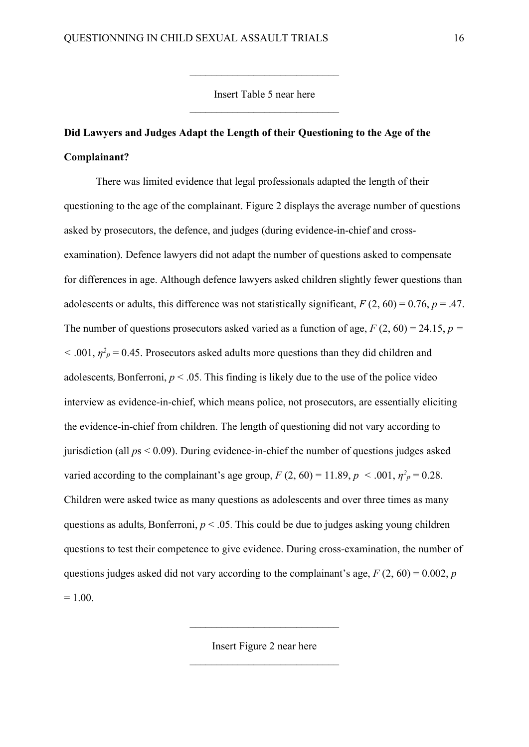Insert Table 5 near here

 $\overline{\mathcal{L}}$  , which is a set of the set of the set of the set of the set of the set of the set of the set of the set of the set of the set of the set of the set of the set of the set of the set of the set of the set of th

# **Did Lawyers and Judges Adapt the Length of their Questioning to the Age of the Complainant?**

There was limited evidence that legal professionals adapted the length of their questioning to the age of the complainant. Figure 2 displays the average number of questions asked by prosecutors, the defence, and judges (during evidence-in-chief and crossexamination). Defence lawyers did not adapt the number of questions asked to compensate for differences in age. Although defence lawyers asked children slightly fewer questions than adolescents or adults, this difference was not statistically significant,  $F(2, 60) = 0.76$ ,  $p = .47$ . The number of questions prosecutors asked varied as a function of age,  $F(2, 60) = 24.15$ ,  $p =$  $<$  0.01,  $\eta^2$ <sub>*p*</sub> = 0.45. Prosecutors asked adults more questions than they did children and adolescents, Bonferroni,  $p < 0.05$ . This finding is likely due to the use of the police video interview as evidence-in-chief, which means police, not prosecutors, are essentially eliciting the evidence-in-chief from children. The length of questioning did not vary according to jurisdiction (all *p*s < 0.09). During evidence-in-chief the number of questions judges asked varied according to the complainant's age group,  $F(2, 60) = 11.89$ ,  $p < .001$ ,  $\eta^2 p = 0.28$ . Children were asked twice as many questions as adolescents and over three times as many questions as adults, Bonferroni, *p* < .05. This could be due to judges asking young children questions to test their competence to give evidence. During cross-examination, the number of questions judges asked did not vary according to the complainant's age,  $F(2, 60) = 0.002$ , *p*  $= 1.00.$ 

Insert Figure 2 near here

 $\overline{\mathcal{L}}$  , which is a set of the set of the set of the set of the set of the set of the set of the set of the set of the set of the set of the set of the set of the set of the set of the set of the set of the set of th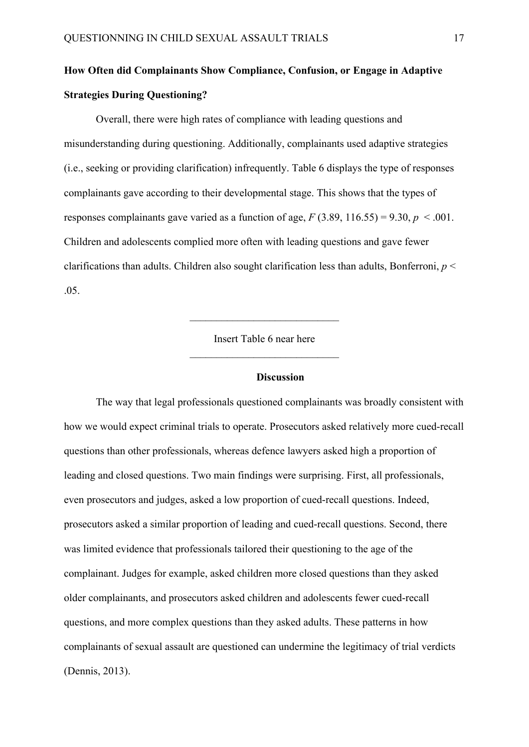# **How Often did Complainants Show Compliance, Confusion, or Engage in Adaptive Strategies During Questioning?**

Overall, there were high rates of compliance with leading questions and misunderstanding during questioning. Additionally, complainants used adaptive strategies (i.e., seeking or providing clarification) infrequently. Table 6 displays the type of responses complainants gave according to their developmental stage. This shows that the types of responses complainants gave varied as a function of age,  $F(3.89, 116.55) = 9.30, p < .001$ . Children and adolescents complied more often with leading questions and gave fewer clarifications than adults. Children also sought clarification less than adults, Bonferroni, *p* < .05.

> Insert Table 6 near here  $\overline{\mathcal{L}}$  , which is a set of the set of the set of the set of the set of the set of the set of the set of the set of the set of the set of the set of the set of the set of the set of the set of the set of the set of th

> $\overline{\mathcal{L}}$  , which is a set of the set of the set of the set of the set of the set of the set of the set of the set of the set of the set of the set of the set of the set of the set of the set of the set of the set of th

#### **Discussion**

The way that legal professionals questioned complainants was broadly consistent with how we would expect criminal trials to operate. Prosecutors asked relatively more cued-recall questions than other professionals, whereas defence lawyers asked high a proportion of leading and closed questions. Two main findings were surprising. First, all professionals, even prosecutors and judges, asked a low proportion of cued-recall questions. Indeed, prosecutors asked a similar proportion of leading and cued-recall questions. Second, there was limited evidence that professionals tailored their questioning to the age of the complainant. Judges for example, asked children more closed questions than they asked older complainants, and prosecutors asked children and adolescents fewer cued-recall questions, and more complex questions than they asked adults. These patterns in how complainants of sexual assault are questioned can undermine the legitimacy of trial verdicts (Dennis, 2013).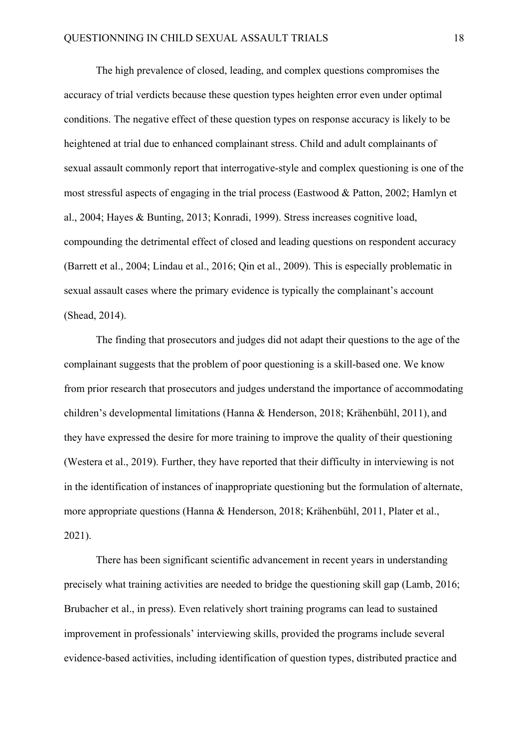The high prevalence of closed, leading, and complex questions compromises the accuracy of trial verdicts because these question types heighten error even under optimal conditions. The negative effect of these question types on response accuracy is likely to be heightened at trial due to enhanced complainant stress. Child and adult complainants of sexual assault commonly report that interrogative-style and complex questioning is one of the most stressful aspects of engaging in the trial process (Eastwood & Patton, 2002; Hamlyn et al., 2004; Hayes & Bunting, 2013; Konradi, 1999). Stress increases cognitive load, compounding the detrimental effect of closed and leading questions on respondent accuracy (Barrett et al., 2004; Lindau et al., 2016; Qin et al., 2009). This is especially problematic in sexual assault cases where the primary evidence is typically the complainant's account (Shead, 2014).

The finding that prosecutors and judges did not adapt their questions to the age of the complainant suggests that the problem of poor questioning is a skill-based one. We know from prior research that prosecutors and judges understand the importance of accommodating children's developmental limitations (Hanna & Henderson, 2018; Krähenbühl, 2011), and they have expressed the desire for more training to improve the quality of their questioning (Westera et al., 2019). Further, they have reported that their difficulty in interviewing is not in the identification of instances of inappropriate questioning but the formulation of alternate, more appropriate questions (Hanna & Henderson, 2018; Krähenbühl, 2011, Plater et al., 2021).

There has been significant scientific advancement in recent years in understanding precisely what training activities are needed to bridge the questioning skill gap (Lamb, 2016; Brubacher et al., in press). Even relatively short training programs can lead to sustained improvement in professionals' interviewing skills, provided the programs include several evidence-based activities, including identification of question types, distributed practice and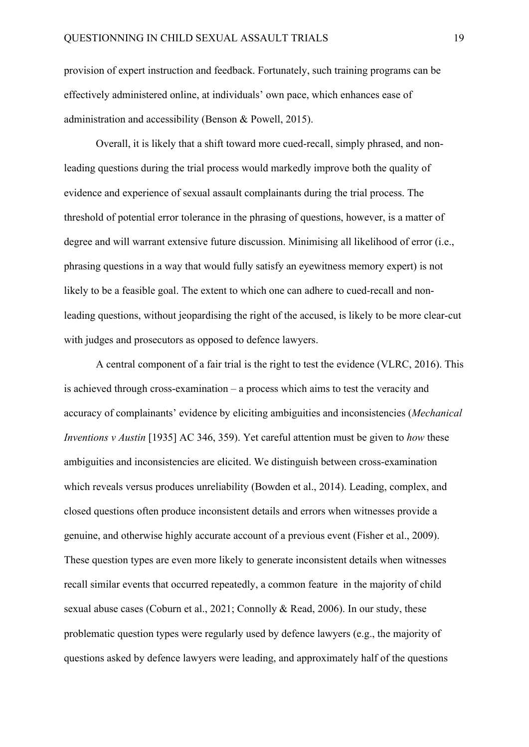provision of expert instruction and feedback. Fortunately, such training programs can be effectively administered online, at individuals' own pace, which enhances ease of administration and accessibility (Benson & Powell, 2015).

Overall, it is likely that a shift toward more cued-recall, simply phrased, and nonleading questions during the trial process would markedly improve both the quality of evidence and experience of sexual assault complainants during the trial process. The threshold of potential error tolerance in the phrasing of questions, however, is a matter of degree and will warrant extensive future discussion. Minimising all likelihood of error (i.e., phrasing questions in a way that would fully satisfy an eyewitness memory expert) is not likely to be a feasible goal. The extent to which one can adhere to cued-recall and nonleading questions, without jeopardising the right of the accused, is likely to be more clear-cut with judges and prosecutors as opposed to defence lawyers.

A central component of a fair trial is the right to test the evidence (VLRC, 2016). This is achieved through cross-examination – a process which aims to test the veracity and accuracy of complainants' evidence by eliciting ambiguities and inconsistencies (*Mechanical Inventions v Austin* [1935] AC 346, 359). Yet careful attention must be given to *how* these ambiguities and inconsistencies are elicited. We distinguish between cross-examination which reveals versus produces unreliability (Bowden et al., 2014). Leading, complex, and closed questions often produce inconsistent details and errors when witnesses provide a genuine, and otherwise highly accurate account of a previous event (Fisher et al., 2009). These question types are even more likely to generate inconsistent details when witnesses recall similar events that occurred repeatedly, a common feature in the majority of child sexual abuse cases (Coburn et al., 2021; Connolly & Read, 2006). In our study, these problematic question types were regularly used by defence lawyers (e.g., the majority of questions asked by defence lawyers were leading, and approximately half of the questions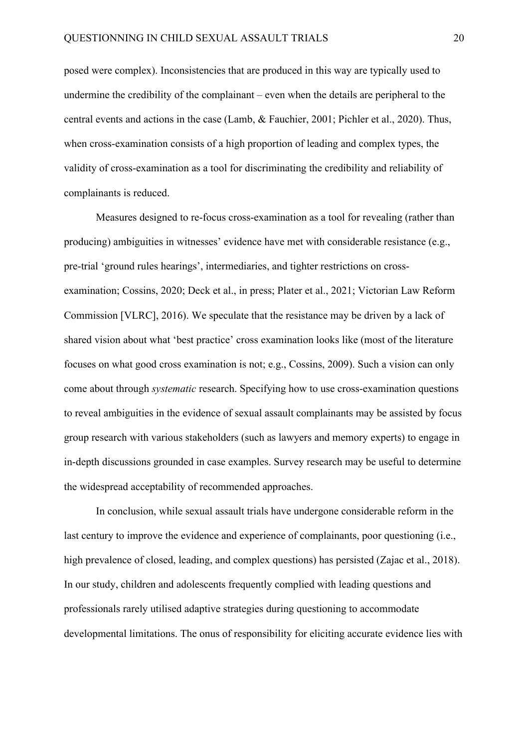posed were complex). Inconsistencies that are produced in this way are typically used to undermine the credibility of the complainant – even when the details are peripheral to the central events and actions in the case (Lamb, & Fauchier, 2001; Pichler et al., 2020). Thus, when cross-examination consists of a high proportion of leading and complex types, the validity of cross-examination as a tool for discriminating the credibility and reliability of complainants is reduced.

Measures designed to re-focus cross-examination as a tool for revealing (rather than producing) ambiguities in witnesses' evidence have met with considerable resistance (e.g., pre-trial 'ground rules hearings', intermediaries, and tighter restrictions on crossexamination; Cossins, 2020; Deck et al., in press; Plater et al., 2021; Victorian Law Reform Commission [VLRC], 2016). We speculate that the resistance may be driven by a lack of shared vision about what 'best practice' cross examination looks like (most of the literature focuses on what good cross examination is not; e.g., Cossins, 2009). Such a vision can only come about through *systematic* research. Specifying how to use cross-examination questions to reveal ambiguities in the evidence of sexual assault complainants may be assisted by focus group research with various stakeholders (such as lawyers and memory experts) to engage in in-depth discussions grounded in case examples. Survey research may be useful to determine the widespread acceptability of recommended approaches.

In conclusion, while sexual assault trials have undergone considerable reform in the last century to improve the evidence and experience of complainants, poor questioning (i.e., high prevalence of closed, leading, and complex questions) has persisted (Zajac et al., 2018). In our study, children and adolescents frequently complied with leading questions and professionals rarely utilised adaptive strategies during questioning to accommodate developmental limitations. The onus of responsibility for eliciting accurate evidence lies with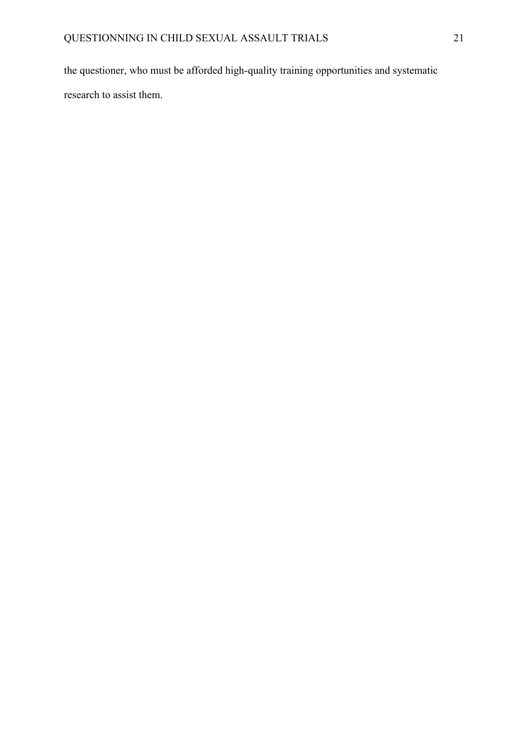the questioner, who must be afforded high-quality training opportunities and systematic research to assist them.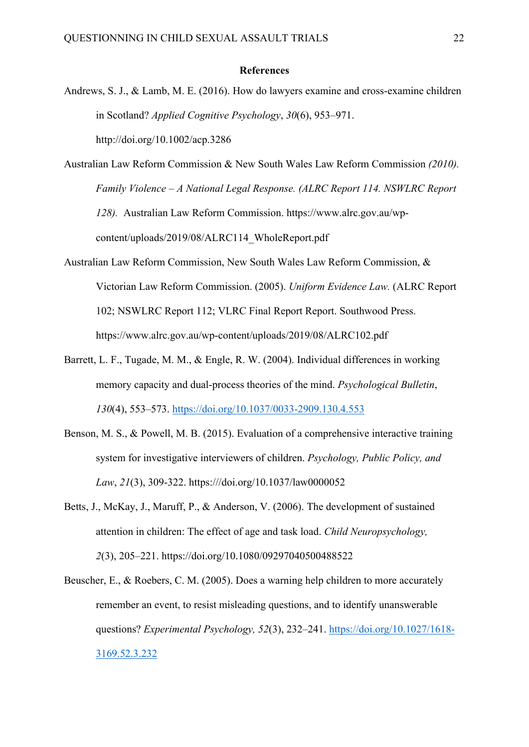#### **References**

- Andrews, S. J., & Lamb, M. E. (2016). How do lawyers examine and cross-examine children in Scotland? *Applied Cognitive Psychology*, *30*(6), 953–971. http://doi.org/10.1002/acp.3286
- Australian Law Reform Commission & New South Wales Law Reform Commission *(2010). Family Violence – A National Legal Response. (ALRC Report 114. NSWLRC Report 128).* Australian Law Reform Commission. https://www.alrc.gov.au/wpcontent/uploads/2019/08/ALRC114\_WholeReport.pdf
- Australian Law Reform Commission, New South Wales Law Reform Commission, & Victorian Law Reform Commission. (2005). *Uniform Evidence Law.* (ALRC Report 102; NSWLRC Report 112; VLRC Final Report Report. Southwood Press. https://www.alrc.gov.au/wp-content/uploads/2019/08/ALRC102.pdf
- Barrett, L. F., Tugade, M. M., & Engle, R. W. (2004). Individual differences in working memory capacity and dual-process theories of the mind. *Psychological Bulletin*, *130*(4), 553–573.<https://doi.org/10.1037/0033-2909.130.4.553>
- Benson, M. S., & Powell, M. B. (2015). Evaluation of a comprehensive interactive training system for investigative interviewers of children. *Psychology, Public Policy, and Law*, *21*(3), 309-322. https:///doi.org/10.1037/law0000052
- Betts, J., McKay, J., Maruff, P., & Anderson, V. (2006). The development of sustained attention in children: The effect of age and task load. *Child Neuropsychology, 2*(3), 205–221. https://doi.org/10.1080/09297040500488522
- Beuscher, E., & Roebers, C. M. (2005). Does a warning help children to more accurately remember an event, to resist misleading questions, and to identify unanswerable questions? *Experimental Psychology, 52*(3), 232–241. [https://doi.org/10.1027/1618-](https://doi.org/10.1027/1618-3169.52.3.232) [3169.52.3.232](https://doi.org/10.1027/1618-3169.52.3.232)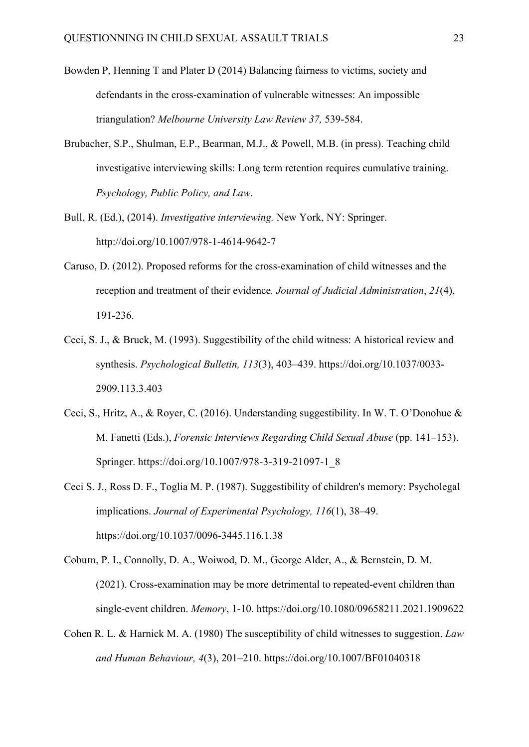- Bowden P, Henning T and Plater D (2014) Balancing fairness to victims, society and defendants in the cross-examination of vulnerable witnesses: An impossible triangulation? *Melbourne University Law Review 37,* 539-584.
- Brubacher, S.P., Shulman, E.P., Bearman, M.J., & Powell, M.B. (in press). Teaching child investigative interviewing skills: Long term retention requires cumulative training. *Psychology, Public Policy, and Law*.
- Bull, R. (Ed.), (2014). *Investigative interviewing.* New York, NY: Springer. http://doi.org/10.1007/978-1-4614-9642-7
- Caruso, D. (2012). Proposed reforms for the cross-examination of child witnesses and the reception and treatment of their evidence*. Journal of Judicial Administration*, *21*(4), 191-236.
- Ceci, S. J., & Bruck, M. (1993). Suggestibility of the child witness: A historical review and synthesis. *Psychological Bulletin, 113*(3), 403–439. https://doi.org/10.1037/0033- 2909.113.3.403
- Ceci, S., Hritz, A., & Royer, C. (2016). Understanding suggestibility. In W. T. O'Donohue & M. Fanetti (Eds.), *Forensic Interviews Regarding Child Sexual Abuse* (pp. 141–153). Springer. https://doi.org/10.1007/978-3-319-21097-1\_8
- Ceci S. J., Ross D. F., Toglia M. P. (1987). Suggestibility of children's memory: Psycholegal implications. *Journal of Experimental Psychology, 116*(1), 38–49. https://doi.org/10.1037/0096-3445.116.1.38
- Coburn, P. I., Connolly, D. A., Woiwod, D. M., George Alder, A., & Bernstein, D. M. (2021). Cross-examination may be more detrimental to repeated-event children than single-event children. *Memory*, 1-10. https://doi.org/10.1080/09658211.2021.1909622
- Cohen R. L. & Harnick M. A. (1980) The susceptibility of child witnesses to suggestion. *Law and Human Behaviour, 4*(3), 201–210. https://doi.org/10.1007/BF01040318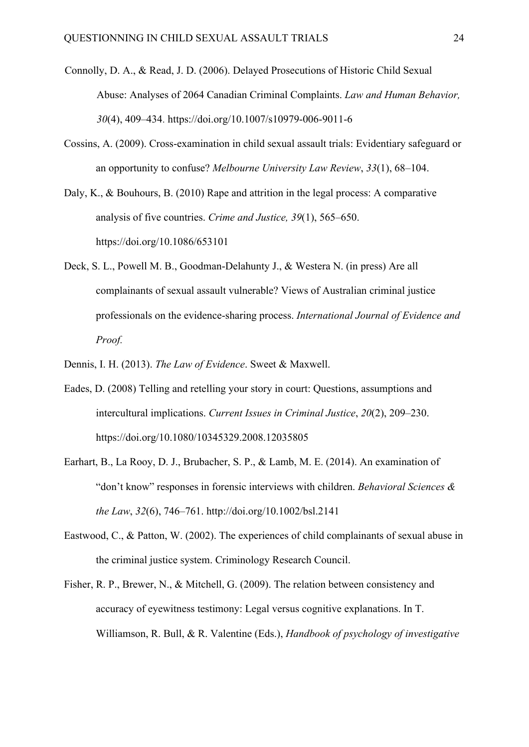- Connolly, D. A., & Read, J. D. (2006). Delayed Prosecutions of Historic Child Sexual Abuse: Analyses of 2064 Canadian Criminal Complaints. *Law and Human Behavior, 30*(4), 409–434. https://doi.org/10.1007/s10979-006-9011-6
- Cossins, A. (2009). Cross-examination in child sexual assault trials: Evidentiary safeguard or an opportunity to confuse? *Melbourne University Law Review*, *33*(1), 68–104.

Daly, K., & Bouhours, B. (2010) Rape and attrition in the legal process: A comparative analysis of five countries. *Crime and Justice, 39*(1), 565–650. https://doi.org/10.1086/653101

- Deck, S. L., Powell M. B., Goodman-Delahunty J., & Westera N. (in press) Are all complainants of sexual assault vulnerable? Views of Australian criminal justice professionals on the evidence-sharing process. *International Journal of Evidence and Proof.*
- Dennis, I. H. (2013). *The Law of Evidence*. Sweet & Maxwell.
- Eades, D. (2008) Telling and retelling your story in court: Questions, assumptions and intercultural implications. *Current Issues in Criminal Justice*, *20*(2), 209–230. https://doi.org/10.1080/10345329.2008.12035805
- Earhart, B., La Rooy, D. J., Brubacher, S. P., & Lamb, M. E. (2014). An examination of "don't know" responses in forensic interviews with children. *Behavioral Sciences & the Law*, *32*(6), 746–761. http://doi.org/10.1002/bsl.2141
- Eastwood, C., & Patton, W. (2002). The experiences of child complainants of sexual abuse in the criminal justice system. Criminology Research Council.
- Fisher, R. P., Brewer, N., & Mitchell, G. (2009). The relation between consistency and accuracy of eyewitness testimony: Legal versus cognitive explanations. In T. Williamson, R. Bull, & R. Valentine (Eds.), *Handbook of psychology of investigative*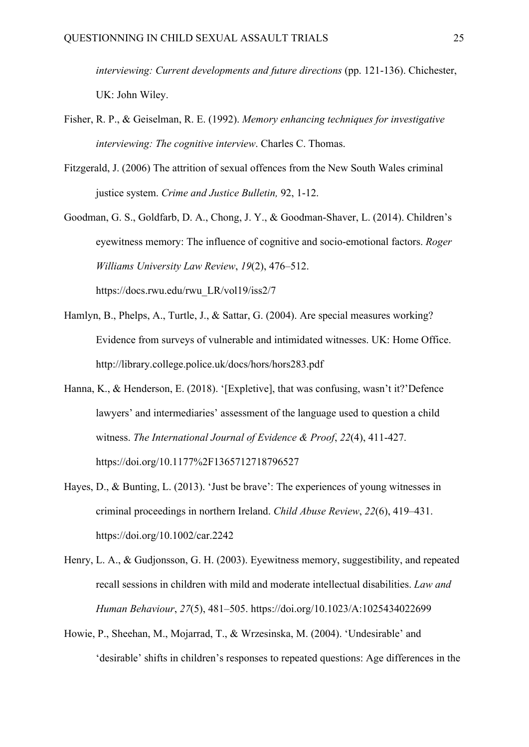*interviewing: Current developments and future directions (pp. 121-136). Chichester,* UK: John Wiley.

- Fisher, R. P., & Geiselman, R. E. (1992). *Memory enhancing techniques for investigative interviewing: The cognitive interview*. Charles C. Thomas.
- Fitzgerald, J. (2006) The attrition of sexual offences from the New South Wales criminal justice system. *Crime and Justice Bulletin,* 92, 1-12.
- Goodman, G. S., Goldfarb, D. A., Chong, J. Y., & Goodman-Shaver, L. (2014). Children's eyewitness memory: The influence of cognitive and socio-emotional factors. *Roger Williams University Law Review*, *19*(2), 476–512. https://docs.rwu.edu/rwu\_LR/vol19/iss2/7
- Hamlyn, B., Phelps, A., Turtle, J., & Sattar, G. (2004). Are special measures working? Evidence from surveys of vulnerable and intimidated witnesses. UK: Home Office. http://library.college.police.uk/docs/hors/hors283.pdf
- Hanna, K., & Henderson, E. (2018). '[Expletive], that was confusing, wasn't it?'Defence lawyers' and intermediaries' assessment of the language used to question a child witness. *The International Journal of Evidence & Proof*, *22*(4), 411-427. https://doi.org/10.1177%2F1365712718796527
- Hayes, D., & Bunting, L. (2013). 'Just be brave': The experiences of young witnesses in criminal proceedings in northern Ireland. *Child Abuse Review*, *22*(6), 419–431. https://doi.org/10.1002/car.2242
- Henry, L. A., & Gudjonsson, G. H. (2003). Eyewitness memory, suggestibility, and repeated recall sessions in children with mild and moderate intellectual disabilities. *Law and Human Behaviour*, *27*(5), 481–505. https://doi.org/10.1023/A:1025434022699
- Howie, P., Sheehan, M., Mojarrad, T., & Wrzesinska, M. (2004). 'Undesirable' and 'desirable' shifts in children's responses to repeated questions: Age differences in the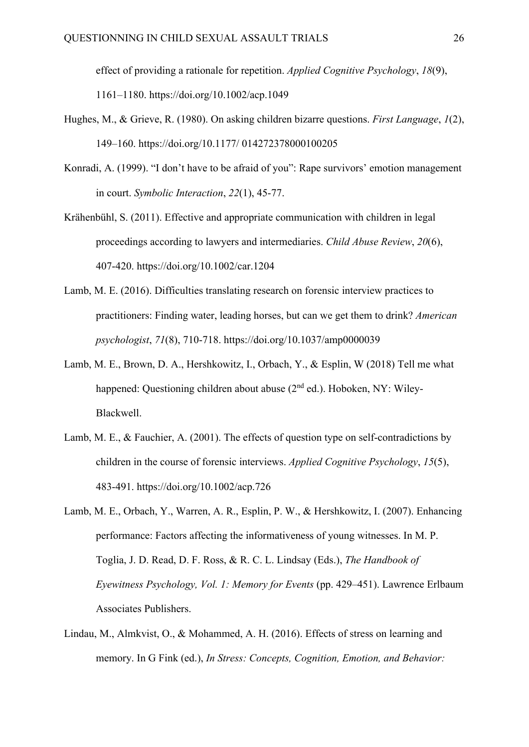effect of providing a rationale for repetition. *Applied Cognitive Psychology*, *18*(9), 1161–1180. https://doi.org/10.1002/acp.1049

- Hughes, M., & Grieve, R. (1980). On asking children bizarre questions. *First Language*, *1*(2), 149–160. https://doi.org/10.1177/ 014272378000100205
- Konradi, A. (1999). "I don't have to be afraid of you": Rape survivors' emotion management in court. *Symbolic Interaction*, *22*(1), 45-77.
- Krähenbühl, S. (2011). Effective and appropriate communication with children in legal proceedings according to lawyers and intermediaries. *Child Abuse Review*, *20*(6), 407-420. https://doi.org/10.1002/car.1204
- Lamb, M. E. (2016). Difficulties translating research on forensic interview practices to practitioners: Finding water, leading horses, but can we get them to drink? *American psychologist*, *71*(8), 710-718. https://doi.org/10.1037/amp0000039
- Lamb, M. E., Brown, D. A., Hershkowitz, I., Orbach, Y., & Esplin, W (2018) Tell me what happened: Questioning children about abuse (2<sup>nd</sup> ed.). Hoboken, NY: Wiley-Blackwell.
- Lamb, M. E., & Fauchier, A. (2001). The effects of question type on self-contradictions by children in the course of forensic interviews. *Applied Cognitive Psychology*, *15*(5), 483-491. https://doi.org/10.1002/acp.726
- Lamb, M. E., Orbach, Y., Warren, A. R., Esplin, P. W., & Hershkowitz, I. (2007). Enhancing performance: Factors affecting the informativeness of young witnesses. In M. P. Toglia, J. D. Read, D. F. Ross, & R. C. L. Lindsay (Eds.), *The Handbook of Eyewitness Psychology, Vol. 1: Memory for Events* (pp. 429–451). Lawrence Erlbaum Associates Publishers.
- Lindau, M., Almkvist, O., & Mohammed, A. H. (2016). Effects of stress on learning and memory. In G Fink (ed.), *In Stress: Concepts, Cognition, Emotion, and Behavior:*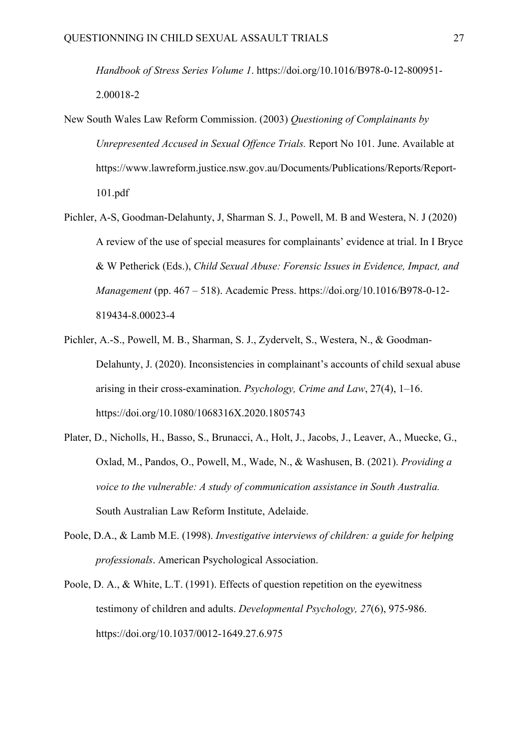*Handbook of Stress Series Volume 1*. https://doi.org/10.1016/B978-0-12-800951- 2.00018-2

- New South Wales Law Reform Commission. (2003) *Questioning of Complainants by Unrepresented Accused in Sexual Offence Trials.* Report No 101. June. Available at https://www.lawreform.justice.nsw.gov.au/Documents/Publications/Reports/Report-101.pdf
- Pichler, A-S, Goodman-Delahunty, J, Sharman S. J., Powell, M. B and Westera, N. J (2020) A review of the use of special measures for complainants' evidence at trial. In I Bryce & W Petherick (Eds.), *Child Sexual Abuse: Forensic Issues in Evidence, Impact, and Management* (pp. 467 – 518). Academic Press. https://doi.org/10.1016/B978-0-12- 819434-8.00023-4
- Pichler, A.-S., Powell, M. B., Sharman, S. J., Zydervelt, S., Westera, N., & Goodman-Delahunty, J. (2020). Inconsistencies in complainant's accounts of child sexual abuse arising in their cross-examination. *Psychology, Crime and Law*, 27(4), 1–16. https://doi.org/10.1080/1068316X.2020.1805743
- Plater, D., Nicholls, H., Basso, S., Brunacci, A., Holt, J., Jacobs, J., Leaver, A., Muecke, G., Oxlad, M., Pandos, O., Powell, M., Wade, N., & Washusen, B. (2021). *Providing a voice to the vulnerable: A study of communication assistance in South Australia.* South Australian Law Reform Institute, Adelaide.
- Poole, D.A., & Lamb M.E. (1998). *Investigative interviews of children: a guide for helping professionals*. American Psychological Association.
- Poole, D. A., & White, L.T. (1991). Effects of question repetition on the eyewitness testimony of children and adults. *Developmental Psychology, 27*(6), 975-986. https://doi.org/10.1037/0012-1649.27.6.975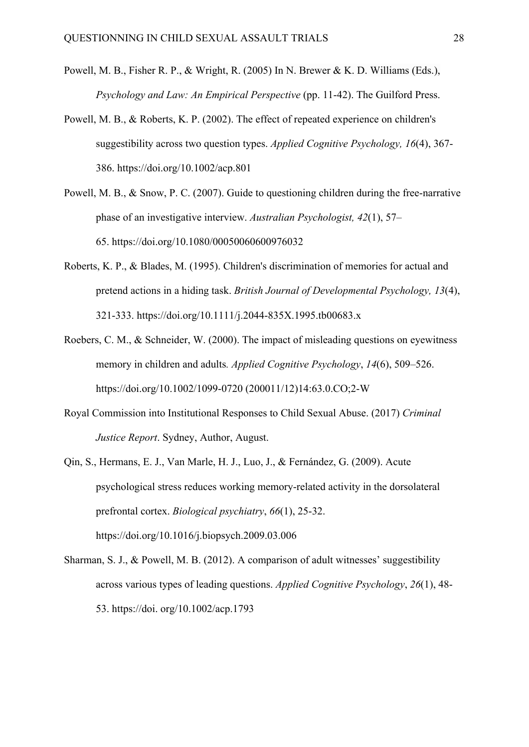- Powell, M. B., Fisher R. P., & Wright, R. (2005) In N. Brewer & K. D. Williams (Eds.), *Psychology and Law: An Empirical Perspective (pp. 11-42). The Guilford Press.*
- Powell, M. B., & Roberts, K. P. (2002). The effect of repeated experience on children's suggestibility across two question types. *Applied Cognitive Psychology, 16*(4), 367- 386. https://doi.org/10.1002/acp.801
- Powell, M. B., & Snow, P. C. (2007). Guide to questioning children during the free-narrative phase of an investigative interview. *Australian Psychologist, 42*(1), 57– 65. https://doi.org/10.1080/00050060600976032
- Roberts, K. P., & Blades, M. (1995). Children's discrimination of memories for actual and pretend actions in a hiding task. *British Journal of Developmental Psychology, 13*(4), 321-333. https://doi.org/10.1111/j.2044-835X.1995.tb00683.x
- Roebers, C. M., & Schneider, W. (2000). The impact of misleading questions on eyewitness memory in children and adults*. Applied Cognitive Psychology*, *14*(6), 509–526. https://doi.org/10.1002/1099-0720 (200011/12)14:63.0.CO;2-W
- Royal Commission into Institutional Responses to Child Sexual Abuse. (2017) *Criminal Justice Report*. Sydney, Author, August.
- Qin, S., Hermans, E. J., Van Marle, H. J., Luo, J., & Fernández, G. (2009). Acute psychological stress reduces working memory-related activity in the dorsolateral prefrontal cortex. *Biological psychiatry*, *66*(1), 25-32. https://doi.org/10.1016/j.biopsych.2009.03.006
- Sharman, S. J., & Powell, M. B. (2012). A comparison of adult witnesses' suggestibility across various types of leading questions. *Applied Cognitive Psychology*, *26*(1), 48- 53. https://doi. org/10.1002/acp.1793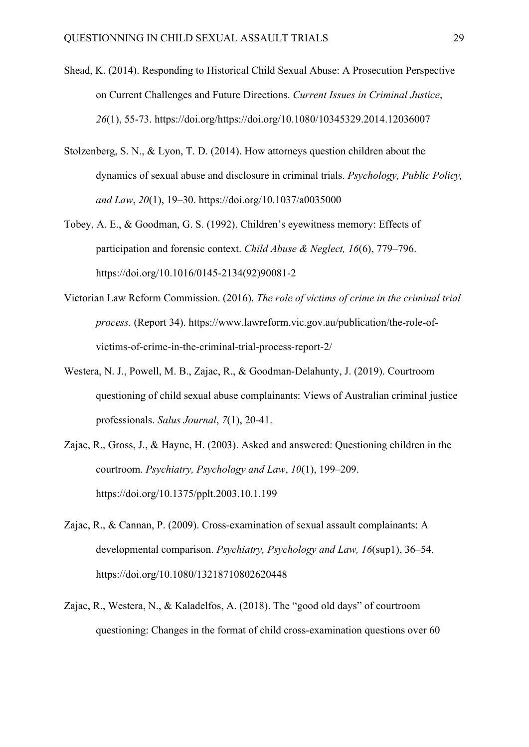- Shead, K. (2014). Responding to Historical Child Sexual Abuse: A Prosecution Perspective on Current Challenges and Future Directions. *Current Issues in Criminal Justice*, *26*(1), 55-73. https://doi.org/https://doi.org/10.1080/10345329.2014.12036007
- Stolzenberg, S. N., & Lyon, T. D. (2014). How attorneys question children about the dynamics of sexual abuse and disclosure in criminal trials. *Psychology, Public Policy, and Law*, *20*(1), 19–30. https://doi.org/10.1037/a0035000
- Tobey, A. E., & Goodman, G. S. (1992). Children's eyewitness memory: Effects of participation and forensic context. *Child Abuse & Neglect, 16*(6), 779–796. https://doi.org/10.1016/0145-2134(92)90081-2
- Victorian Law Reform Commission. (2016). *The role of victims of crime in the criminal trial process.* (Report 34). https://www.lawreform.vic.gov.au/publication/the-role-ofvictims-of-crime-in-the-criminal-trial-process-report-2/
- Westera, N. J., Powell, M. B., Zajac, R., & Goodman-Delahunty, J. (2019). Courtroom questioning of child sexual abuse complainants: Views of Australian criminal justice professionals. *Salus Journal*, *7*(1), 20-41.
- Zajac, R., Gross, J., & Hayne, H. (2003). Asked and answered: Questioning children in the courtroom. *Psychiatry, Psychology and Law*, *10*(1), 199–209. https://doi.org/10.1375/pplt.2003.10.1.199
- Zajac, R., & Cannan, P. (2009). Cross-examination of sexual assault complainants: A developmental comparison. *Psychiatry, Psychology and Law, 16*(sup1), 36–54. https://doi.org/10.1080/13218710802620448
- Zajac, R., Westera, N., & Kaladelfos, A. (2018). The "good old days" of courtroom questioning: Changes in the format of child cross-examination questions over 60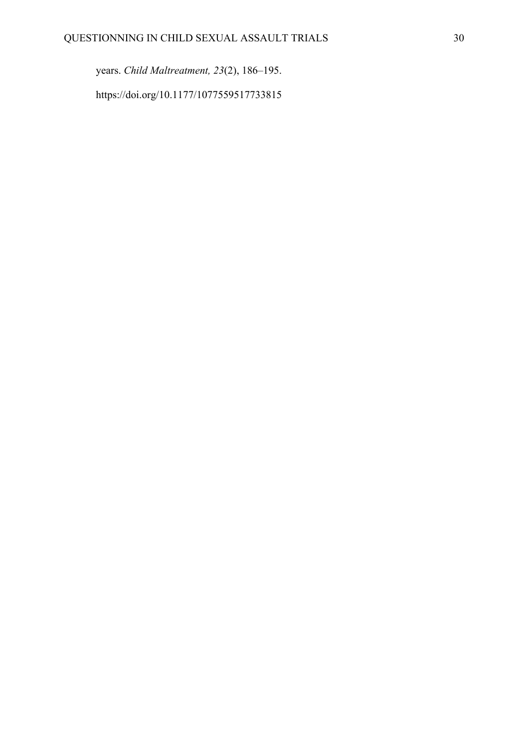years. *Child Maltreatment, 23*(2), 186–195. https://doi.org/10.1177/1077559517733815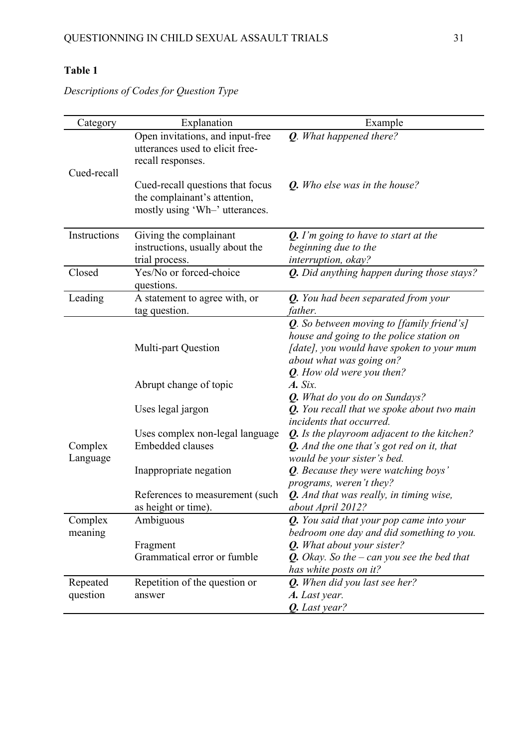Category Explanation Explanation Example Cued-recall Open invitations, and input-free utterances used to elicit freerecall responses. *Q. What happened there?* Cued-recall questions that focus the complainant's attention, mostly using 'Wh–' utterances. *Q. Who else was in the house?* Instructions Giving the complainant instructions, usually about the trial process. *Q. I'm going to have to start at the beginning due to the interruption, okay?* Closed Yes/No or forced-choice questions. *Q. Did anything happen during those stays?* Leading A statement to agree with, or tag question. *Q. You had been separated from your father.* Complex Language Multi-part Question *Q. So between moving to [family friend's] house and going to the police station on [date], you would have spoken to your mum about what was going on?* Abrupt change of topic *Q. How old were you then? A. Six. Q. What do you do on Sundays?* Uses legal jargon *Q. You recall that we spoke about two main incidents that occurred.*  Uses complex non-legal language *Q. Is the playroom adjacent to the kitchen?* Embedded clauses *Q. And the one that's got red on it, that would be your sister's bed.*  Inappropriate negation *Q. Because they were watching boys' programs, weren't they?*  References to measurement (such as height or time). *Q. And that was really, in timing wise, about April 2012?*  Complex meaning Ambiguous *Q. You said that your pop came into your bedroom one day and did something to you.* Fragment **Q.** *What about your sister?* Grammatical error or fumble *Q. Okay. So the – can you see the bed that has white posts on it?*  Repeated question Repetition of the question or answer *Q. When did you last see her? A. Last year. Q. Last year?*

*Descriptions of Codes for Question Type*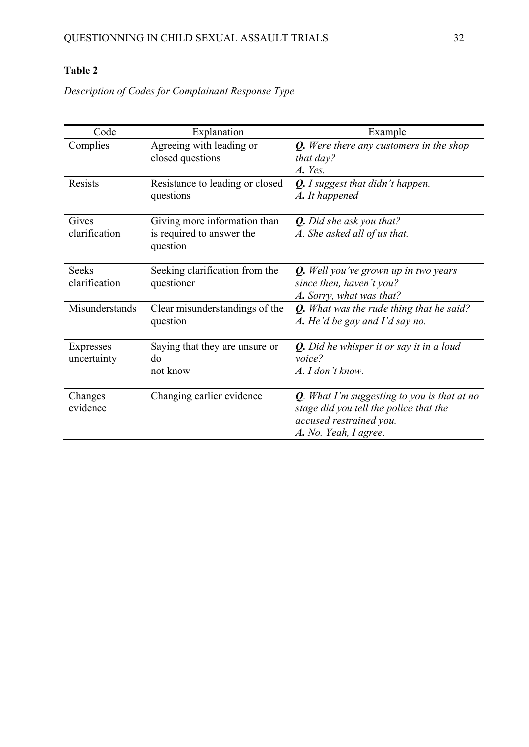*Description of Codes for Complainant Response Type* 

| Code                          | Explanation                                                           | Example                                                                                                                                      |
|-------------------------------|-----------------------------------------------------------------------|----------------------------------------------------------------------------------------------------------------------------------------------|
| Complies                      | Agreeing with leading or<br>closed questions                          | <b>Q.</b> Were there any customers in the shop<br>that day?<br>A. Yes.                                                                       |
| Resists                       | Resistance to leading or closed<br>questions                          | <b>Q.</b> I suggest that didn't happen.<br>A. It happened                                                                                    |
| Gives<br>clarification        | Giving more information than<br>is required to answer the<br>question | <b>Q.</b> Did she ask you that?<br>A. She asked all of us that.                                                                              |
| <b>Seeks</b><br>clarification | Seeking clarification from the<br>questioner                          | <b>Q.</b> Well you've grown up in two years<br>since then, haven't you?<br>A. Sorry, what was that?                                          |
| Misunderstands                | Clear misunderstandings of the<br>question                            | <b>Q.</b> What was the rude thing that he said?<br>A. He'd be gay and I'd say no.                                                            |
| Expresses<br>uncertainty      | Saying that they are unsure or<br>do<br>not know                      | <b>Q.</b> Did he whisper it or say it in a loud<br>voice?<br>A. I don't know.                                                                |
| Changes<br>evidence           | Changing earlier evidence                                             | $Q$ . What I'm suggesting to you is that at no<br>stage did you tell the police that the<br>accused restrained you.<br>A. No. Yeah, I agree. |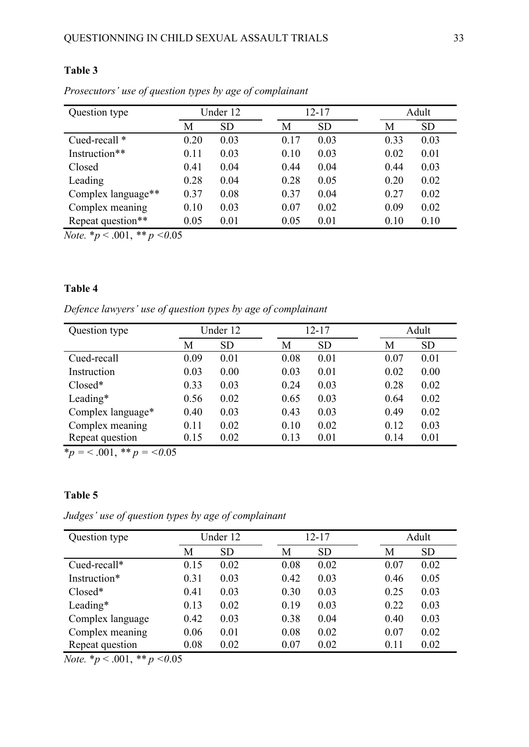| Question type      | Under 12 |           | 12-17 |           | Adult |           |
|--------------------|----------|-----------|-------|-----------|-------|-----------|
|                    | М        | <b>SD</b> | Μ     | <b>SD</b> | М     | <b>SD</b> |
| Cued-recall *      | 0.20     | 0.03      | 0.17  | 0.03      | 0.33  | 0.03      |
| Instruction**      | 0.11     | 0.03      | 0.10  | 0.03      | 0.02  | 0.01      |
| Closed             | 0.41     | 0.04      | 0.44  | 0.04      | 0.44  | 0.03      |
| Leading            | 0.28     | 0.04      | 0.28  | 0.05      | 0.20  | 0.02      |
| Complex language** | 0.37     | 0.08      | 0.37  | 0.04      | 0.27  | 0.02      |
| Complex meaning    | 0.10     | 0.03      | 0.07  | 0.02      | 0.09  | 0.02      |
| Repeat question**  | 0.05     | 0.01      | 0.05  | 0.01      | 0.10  | 0.10      |

*Prosecutors' use of question types by age of complainant*

*Note.*  $*_{p}$  < .001,  $*_{p}$  < 0.05

### **Table 4**

*Defence lawyers' use of question types by age of complainant*

| Question type     | Under 12 |           | $12 - 17$ |           | Adult |           |
|-------------------|----------|-----------|-----------|-----------|-------|-----------|
|                   | М        | <b>SD</b> | Μ         | <b>SD</b> | М     | <b>SD</b> |
| Cued-recall       | 0.09     | 0.01      | 0.08      | 0.01      | 0.07  | 0.01      |
| Instruction       | 0.03     | 0.00      | 0.03      | 0.01      | 0.02  | 0.00      |
| $Closed*$         | 0.33     | 0.03      | 0.24      | 0.03      | 0.28  | 0.02      |
| Leading*          | 0.56     | 0.02      | 0.65      | 0.03      | 0.64  | 0.02      |
| Complex language* | 0.40     | 0.03      | 0.43      | 0.03      | 0.49  | 0.02      |
| Complex meaning   | 0.11     | 0.02      | 0.10      | 0.02      | 0.12  | 0.03      |
| Repeat question   | 0.15     | 0.02      | 0.13      | 0.01      | 0.14  | 0.01      |

 $\dot{p}$  = < .001, \*\* *p* = < 0.05

### **Table 5**

*Judges' use of question types by age of complainant*

| Question type    | Under 12 |           | $12 - 17$ |           | Adult |           |
|------------------|----------|-----------|-----------|-----------|-------|-----------|
|                  | М        | <b>SD</b> | Μ         | <b>SD</b> | Μ     | <b>SD</b> |
| Cued-recall*     | 0.15     | 0.02      | 0.08      | 0.02      | 0.07  | 0.02      |
| Instruction*     | 0.31     | 0.03      | 0.42      | 0.03      | 0.46  | 0.05      |
| $Closed*$        | 0.41     | 0.03      | 0.30      | 0.03      | 0.25  | 0.03      |
| Leading*         | 0.13     | 0.02      | 0.19      | 0.03      | 0.22  | 0.03      |
| Complex language | 0.42     | 0.03      | 0.38      | 0.04      | 0.40  | 0.03      |
| Complex meaning  | 0.06     | 0.01      | 0.08      | 0.02      | 0.07  | 0.02      |
| Repeat question  | 0.08     | 0.02      | 0.07      | 0.02      | 0.11  | 0.02      |

*Note.* \**p* < .001, *\*\* p <0*.05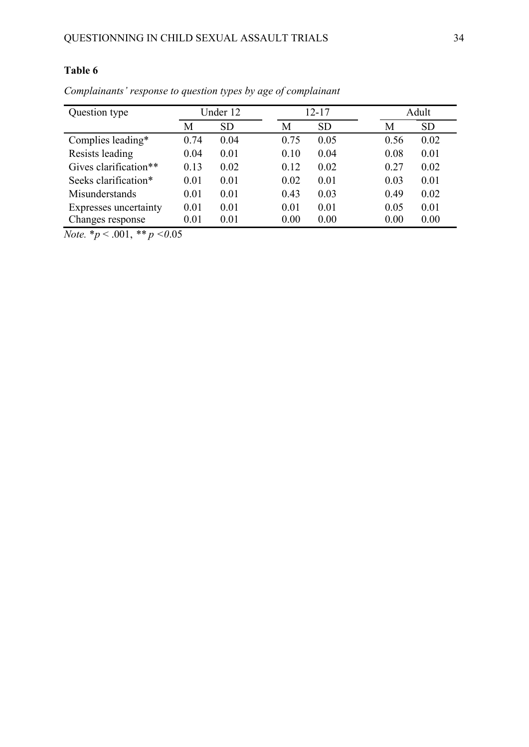| Question type         | Under 12 |           | 12-17 |           |      | Adult     |  |
|-----------------------|----------|-----------|-------|-----------|------|-----------|--|
|                       | M        | <b>SD</b> | М     | <b>SD</b> | М    | <b>SD</b> |  |
| Complies leading*     | 0.74     | 0.04      | 0.75  | 0.05      | 0.56 | 0.02      |  |
| Resists leading       | 0.04     | 0.01      | 0.10  | 0.04      | 0.08 | 0.01      |  |
| Gives clarification** | 0.13     | 0.02      | 0.12  | 0.02      | 0.27 | 0.02      |  |
| Seeks clarification*  | 0.01     | 0.01      | 0.02  | 0.01      | 0.03 | 0.01      |  |
| Misunderstands        | 0.01     | 0.01      | 0.43  | 0.03      | 0.49 | 0.02      |  |
| Expresses uncertainty | 0.01     | 0.01      | 0.01  | 0.01      | 0.05 | 0.01      |  |
| Changes response      | 0.01     | 0.01      | 0.00  | 0.00      | 0.00 | 0.00      |  |

*Complainants' response to question types by age of complainant*

*Note.* \**p* < .001, *\*\* p <0*.05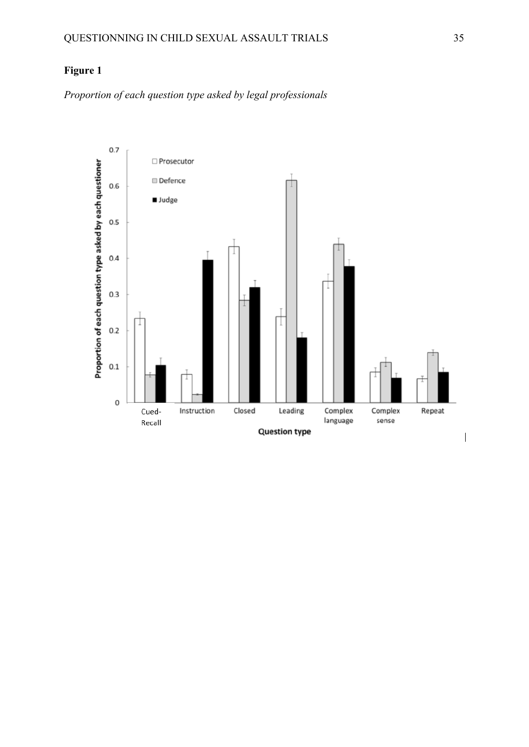## **Figure 1**

*Proportion of each question type asked by legal professionals*